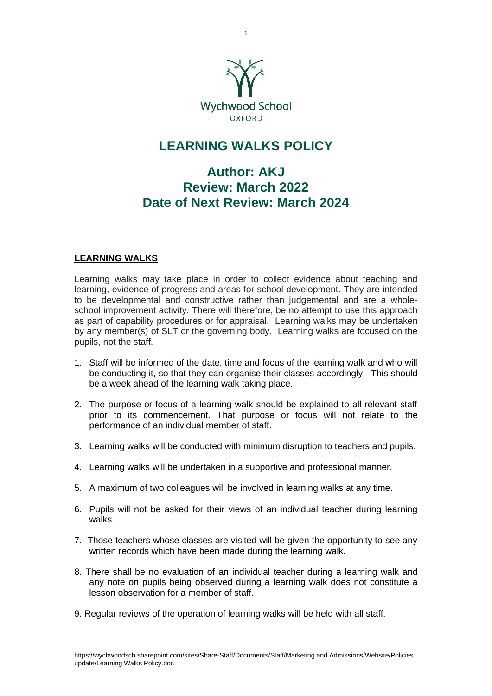

## **LEARNING WALKS POLICY**

## **Author: AKJ Review: March 2022 Date of Next Review: March 2024**

## **LEARNING WALKS**

Learning walks may take place in order to collect evidence about teaching and learning, evidence of progress and areas for school development. They are intended to be developmental and constructive rather than judgemental and are a wholeschool improvement activity. There will therefore, be no attempt to use this approach as part of capability procedures or for appraisal. Learning walks may be undertaken by any member(s) of SLT or the governing body. Learning walks are focused on the pupils, not the staff.

- 1. Staff will be informed of the date, time and focus of the learning walk and who will be conducting it, so that they can organise their classes accordingly. This should be a week ahead of the learning walk taking place.
- 2. The purpose or focus of a learning walk should be explained to all relevant staff prior to its commencement. That purpose or focus will not relate to the performance of an individual member of staff.
- 3. Learning walks will be conducted with minimum disruption to teachers and pupils.
- 4. Learning walks will be undertaken in a supportive and professional manner.
- 5. A maximum of two colleagues will be involved in learning walks at any time.
- 6. Pupils will not be asked for their views of an individual teacher during learning walks.
- 7. Those teachers whose classes are visited will be given the opportunity to see any written records which have been made during the learning walk.
- 8. There shall be no evaluation of an individual teacher during a learning walk and any note on pupils being observed during a learning walk does not constitute a lesson observation for a member of staff.
- 9. Regular reviews of the operation of learning walks will be held with all staff.